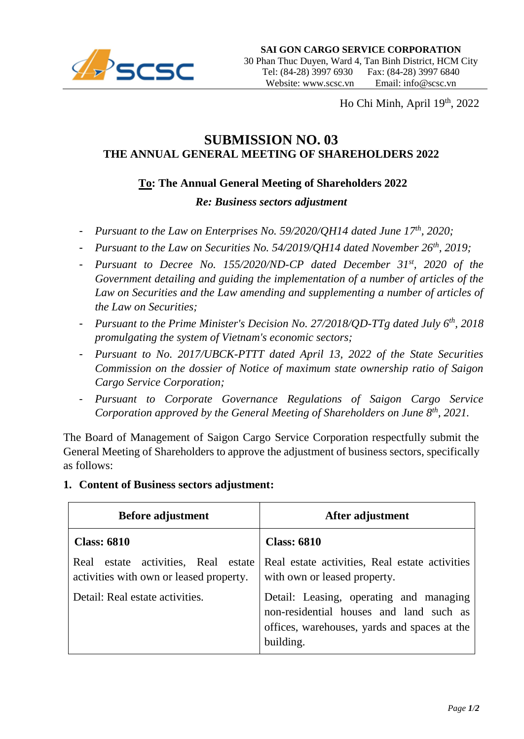

Ho Chi Minh, April 19th, 2022

## **SUBMISSION NO. 03 THE ANNUAL GENERAL MEETING OF SHAREHOLDERS 2022**

### **To: The Annual General Meeting of Shareholders 2022**

#### *Re: Business sectors adjustment*

- *Pursuant to the Law on Enterprises No. 59/2020/QH14 dated June 17th, 2020;*
- *Pursuant to the Law on Securities No. 54/2019/QH14 dated November 26th, 2019;*
- *Pursuant to Decree No. 155/2020/ND-CP dated December 31st, 2020 of the Government detailing and guiding the implementation of a number of articles of the Law on Securities and the Law amending and supplementing a number of articles of the Law on Securities;*
- *Pursuant to the Prime Minister's Decision No. 27/2018/QD-TTg dated July 6th, 2018 promulgating the system of Vietnam's economic sectors;*
- *Pursuant to No. 2017/UBCK-PTTT dated April 13, 2022 of the State Securities Commission on the dossier of Notice of maximum state ownership ratio of Saigon Cargo Service Corporation;*
- *Pursuant to Corporate Governance Regulations of Saigon Cargo Service Corporation approved by the General Meeting of Shareholders on June 8th, 2021.*

The Board of Management of Saigon Cargo Service Corporation respectfully submit the General Meeting of Shareholders to approve the adjustment of business sectors, specifically as follows:

# **1. Content of Business sectors adjustment:**

| <b>Before adjustment</b>                                                          | After adjustment                                                                                                                                |
|-----------------------------------------------------------------------------------|-------------------------------------------------------------------------------------------------------------------------------------------------|
| <b>Class: 6810</b>                                                                | <b>Class: 6810</b>                                                                                                                              |
| estate activities, Real estate<br>Real<br>activities with own or leased property. | Real estate activities, Real estate activities<br>with own or leased property.                                                                  |
| Detail: Real estate activities.                                                   | Detail: Leasing, operating and managing<br>non-residential houses and land such as<br>offices, warehouses, yards and spaces at the<br>building. |